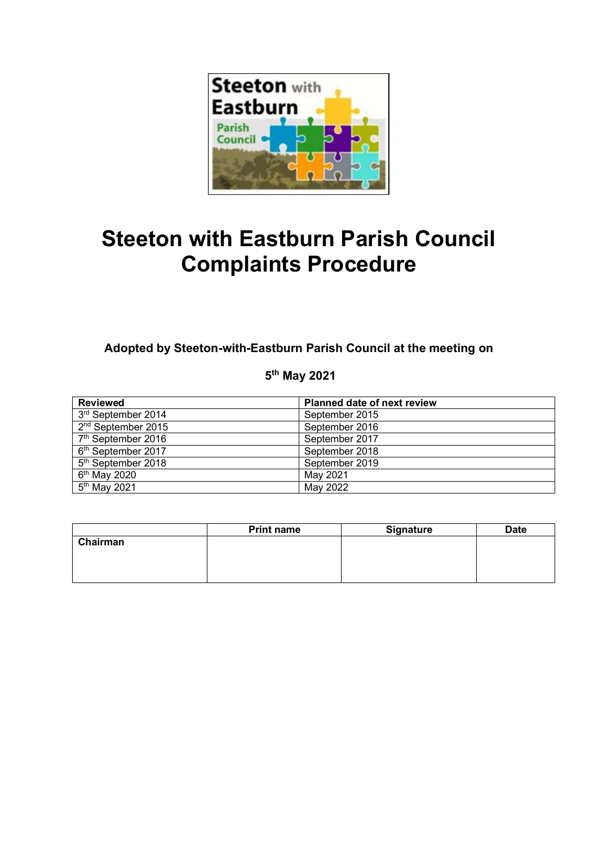

# **Steeton with Eastburn Parish Council Complaints Procedure**

**Adopted by Steeton-with-Eastburn Parish Council at the meeting on**

**5 th May 2021**

| <b>Reviewed</b>                | <b>Planned date of next review</b> |  |
|--------------------------------|------------------------------------|--|
| 3rd September 2014             | September 2015                     |  |
| 2 <sup>nd</sup> September 2015 | September 2016                     |  |
| 7 <sup>th</sup> September 2016 | September 2017                     |  |
| 6 <sup>th</sup> September 2017 | September 2018                     |  |
| 5 <sup>th</sup> September 2018 | September 2019                     |  |
| $6th$ May 2020                 | May 2021                           |  |
| $5th$ May 2021                 | May 2022                           |  |

|          | <b>Print name</b> | <b>Signature</b> | <b>Date</b> |
|----------|-------------------|------------------|-------------|
| Chairman |                   |                  |             |
|          |                   |                  |             |
|          |                   |                  |             |
|          |                   |                  |             |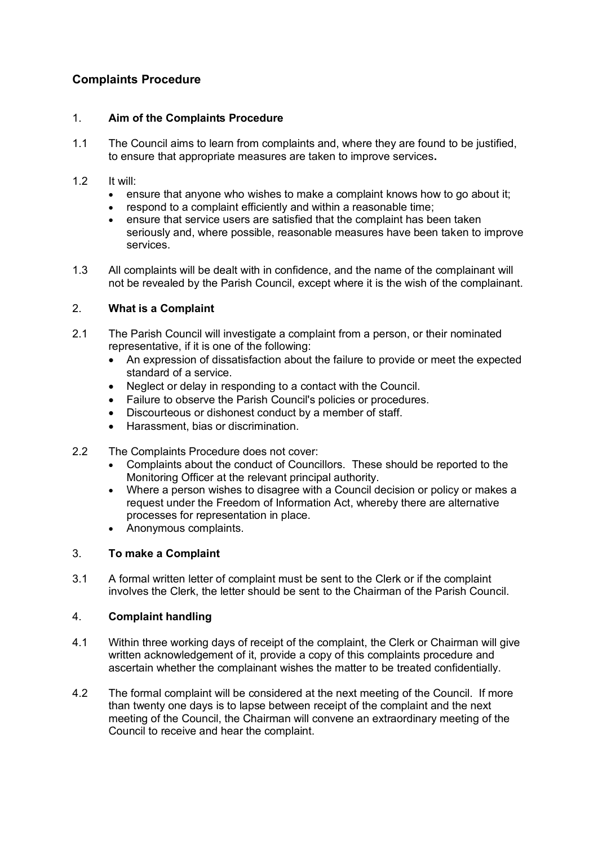# **Complaints Procedure**

#### 1. **Aim of the Complaints Procedure**

- 1.1 The Council aims to learn from complaints and, where they are found to be justified, to ensure that appropriate measures are taken to improve services**.**
- 1.2 It will:
	- ensure that anyone who wishes to make a complaint knows how to go about it:
	- respond to a complaint efficiently and within a reasonable time;
	- ensure that service users are satisfied that the complaint has been taken seriously and, where possible, reasonable measures have been taken to improve services.
- 1.3 All complaints will be dealt with in confidence, and the name of the complainant will not be revealed by the Parish Council, except where it is the wish of the complainant.

## 2. **What is a Complaint**

- 2.1 The Parish Council will investigate a complaint from a person, or their nominated representative, if it is one of the following:
	- An expression of dissatisfaction about the failure to provide or meet the expected standard of a service.
	- Neglect or delay in responding to a contact with the Council.
	- Failure to observe the Parish Council's policies or procedures.
	- Discourteous or dishonest conduct by a member of staff.
	- Harassment, bias or discrimination.
- 2.2 The Complaints Procedure does not cover:
	- Complaints about the conduct of Councillors. These should be reported to the Monitoring Officer at the relevant principal authority.
	- Where a person wishes to disagree with a Council decision or policy or makes a request under the Freedom of Information Act, whereby there are alternative processes for representation in place.
	- Anonymous complaints.

## 3. **To make a Complaint**

3.1 A formal written letter of complaint must be sent to the Clerk or if the complaint involves the Clerk, the letter should be sent to the Chairman of the Parish Council.

#### 4. **Complaint handling**

- 4.1 Within three working days of receipt of the complaint, the Clerk or Chairman will give written acknowledgement of it, provide a copy of this complaints procedure and ascertain whether the complainant wishes the matter to be treated confidentially.
- 4.2 The formal complaint will be considered at the next meeting of the Council. If more than twenty one days is to lapse between receipt of the complaint and the next meeting of the Council, the Chairman will convene an extraordinary meeting of the Council to receive and hear the complaint.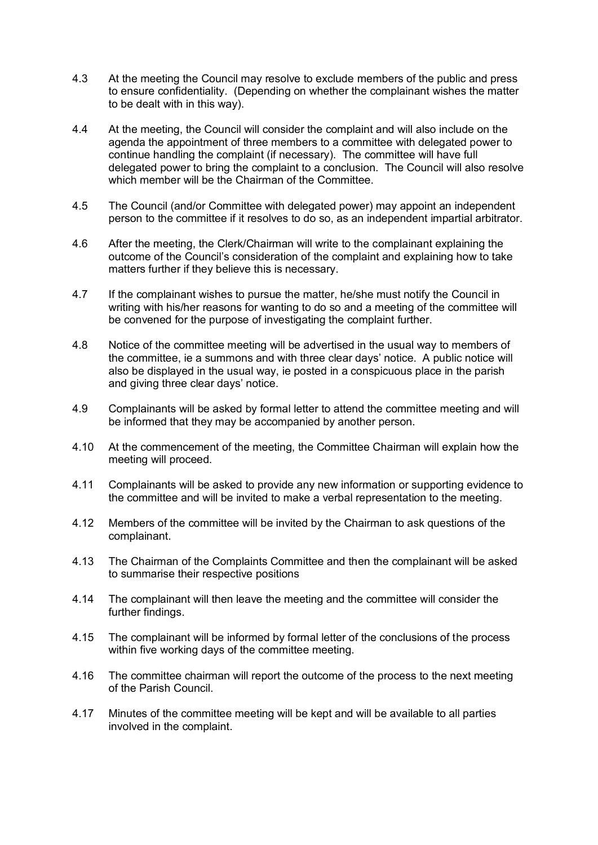- 4.3 At the meeting the Council may resolve to exclude members of the public and press to ensure confidentiality. (Depending on whether the complainant wishes the matter to be dealt with in this way).
- 4.4 At the meeting, the Council will consider the complaint and will also include on the agenda the appointment of three members to a committee with delegated power to continue handling the complaint (if necessary). The committee will have full delegated power to bring the complaint to a conclusion. The Council will also resolve which member will be the Chairman of the Committee.
- 4.5 The Council (and/or Committee with delegated power) may appoint an independent person to the committee if it resolves to do so, as an independent impartial arbitrator.
- 4.6 After the meeting, the Clerk/Chairman will write to the complainant explaining the outcome of the Council's consideration of the complaint and explaining how to take matters further if they believe this is necessary.
- 4.7 If the complainant wishes to pursue the matter, he/she must notify the Council in writing with his/her reasons for wanting to do so and a meeting of the committee will be convened for the purpose of investigating the complaint further.
- 4.8 Notice of the committee meeting will be advertised in the usual way to members of the committee, ie a summons and with three clear days' notice. A public notice will also be displayed in the usual way, ie posted in a conspicuous place in the parish and giving three clear days' notice.
- 4.9 Complainants will be asked by formal letter to attend the committee meeting and will be informed that they may be accompanied by another person.
- 4.10 At the commencement of the meeting, the Committee Chairman will explain how the meeting will proceed.
- 4.11 Complainants will be asked to provide any new information or supporting evidence to the committee and will be invited to make a verbal representation to the meeting.
- 4.12 Members of the committee will be invited by the Chairman to ask questions of the complainant.
- 4.13 The Chairman of the Complaints Committee and then the complainant will be asked to summarise their respective positions
- 4.14 The complainant will then leave the meeting and the committee will consider the further findings.
- 4.15 The complainant will be informed by formal letter of the conclusions of the process within five working days of the committee meeting.
- 4.16 The committee chairman will report the outcome of the process to the next meeting of the Parish Council.
- 4.17 Minutes of the committee meeting will be kept and will be available to all parties involved in the complaint.